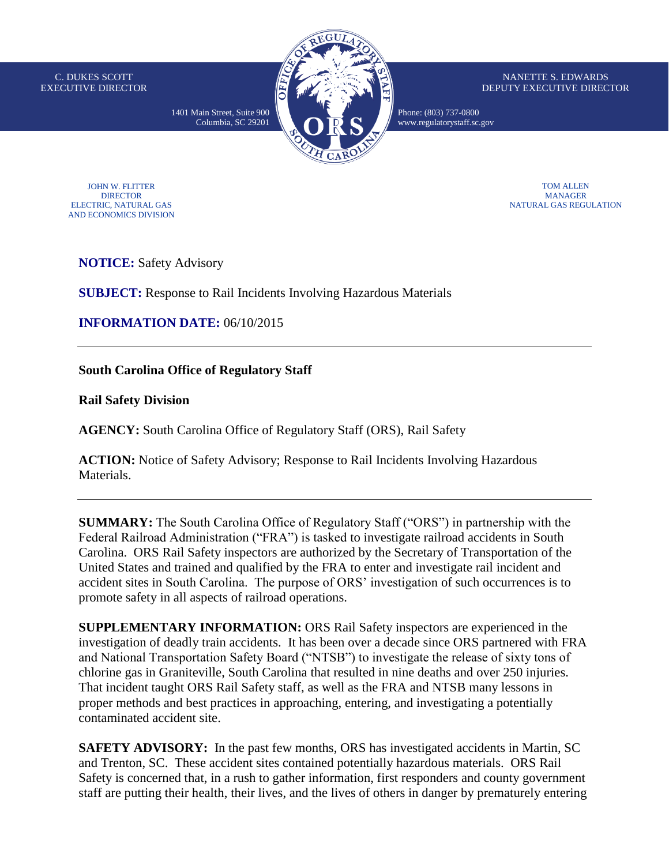C. DUKES SCOTT EXECUTIVE DIRECTOR



NANETTE S. EDWARDS DEPUTY EXECUTIVE DIRECTOR

Phone: (803) 737-0800 [www.regulatorystaff.sc.gov](http://www.regulatorystaff.sc.gov/)

JOHN W. FLITTER DIRECTOR ELECTRIC, NATURAL GAS AND ECONOMICS DIVISION

TOM ALLEN MANAGER NATURAL GAS REGULATION

**NOTICE:** Safety Advisory

**SUBJECT:** Response to Rail Incidents Involving Hazardous Materials

**INFORMATION DATE:** 06/10/2015

**South Carolina Office of Regulatory Staff**

**Rail Safety Division**

**AGENCY:** South Carolina Office of Regulatory Staff (ORS), Rail Safety

**ACTION:** Notice of Safety Advisory; Response to Rail Incidents Involving Hazardous Materials.

**SUMMARY:** The South Carolina Office of Regulatory Staff ("ORS") in partnership with the Federal Railroad Administration ("FRA") is tasked to investigate railroad accidents in South Carolina. ORS Rail Safety inspectors are authorized by the Secretary of Transportation of the United States and trained and qualified by the FRA to enter and investigate rail incident and accident sites in South Carolina. The purpose of ORS' investigation of such occurrences is to promote safety in all aspects of railroad operations.

**SUPPLEMENTARY INFORMATION:** ORS Rail Safety inspectors are experienced in the investigation of deadly train accidents. It has been over a decade since ORS partnered with FRA and National Transportation Safety Board ("NTSB") to investigate the release of sixty tons of chlorine gas in Graniteville, South Carolina that resulted in nine deaths and over 250 injuries. That incident taught ORS Rail Safety staff, as well as the FRA and NTSB many lessons in proper methods and best practices in approaching, entering, and investigating a potentially contaminated accident site.

**SAFETY ADVISORY:** In the past few months, ORS has investigated accidents in Martin, SC and Trenton, SC. These accident sites contained potentially hazardous materials. ORS Rail Safety is concerned that, in a rush to gather information, first responders and county government staff are putting their health, their lives, and the lives of others in danger by prematurely entering